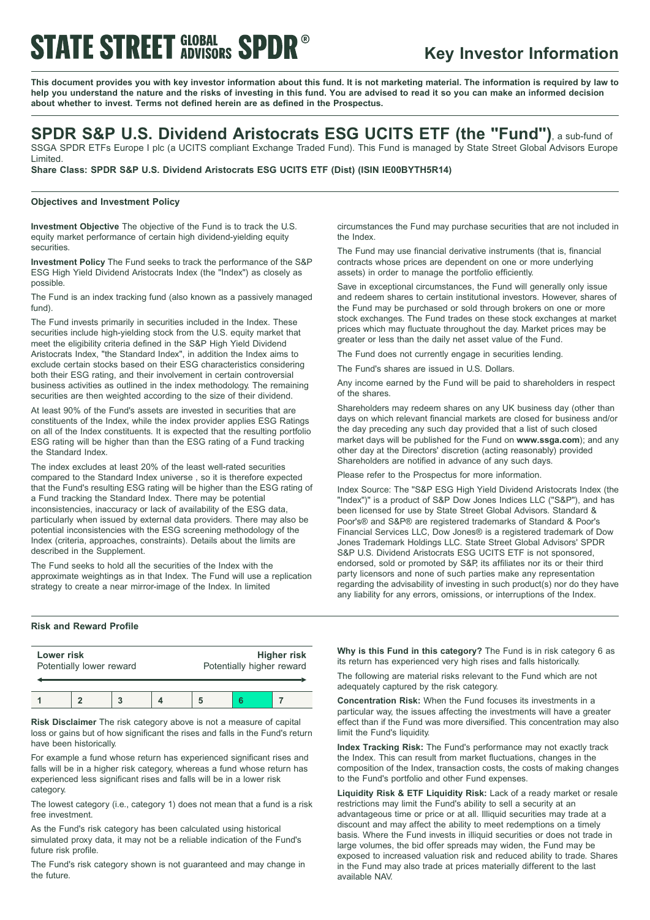## **STATE STREET GLOBAL SPDR®**

### **Key Investor Information**

This document provides you with key investor information about this fund. It is not marketing material. The information is required by law to help you understand the nature and the risks of investing in this fund. You are advised to read it so you can make an informed decision **about whether to invest. Terms not defined herein are as defined in the Prospectus.**

### **SPDR S&P U.S. Dividend Aristocrats ESG UCITS ETF (the "Fund")**, <sup>a</sup> sub-fund of

SSGA SPDR ETFs Europe I plc (a UCITS compliant Exchange Traded Fund). This Fund is managed by State Street Global Advisors Europe Limited.

**Share Class: SPDR S&P U.S. Dividend Aristocrats ESG UCITS ETF (Dist) (ISIN IE00BYTH5R14)**

#### **Objectives and Investment Policy**

**Investment Objective** The objective of the Fund is to track the U.S. equity market performance of certain high dividend-yielding equity securities.

**Investment Policy** The Fund seeks to track the performance of the S&P ESG High Yield Dividend Aristocrats Index (the "Index") as closely as possible.

The Fund is an index tracking fund (also known as a passively managed fund).

The Fund invests primarily in securities included in the Index. These securities include high-yielding stock from the U.S. equity market that meet the eligibility criteria defined in the S&P High Yield Dividend Aristocrats Index, "the Standard Index", in addition the Index aims to exclude certain stocks based on their ESG characteristics considering both their ESG rating, and their involvement in certain controversial business activities as outlined in the index methodology. The remaining securities are then weighted according to the size of their dividend.

At least 90% of the Fund's assets are invested in securities that are constituents of the Index, while the index provider applies ESG Ratings on all of the Index constituents. It is expected that the resulting portfolio ESG rating will be higher than than the ESG rating of a Fund tracking the Standard Index.

The index excludes at least 20% of the least well-rated securities compared to the Standard Index universe , so it is therefore expected that the Fund's resulting ESG rating will be higher than the ESG rating of a Fund tracking the Standard Index. There may be potential inconsistencies, inaccuracy or lack of availability of the ESG data, particularly when issued by external data providers. There may also be potential inconsistencies with the ESG screening methodology of the Index (criteria, approaches, constraints). Details about the limits are described in the Supplement.

The Fund seeks to hold all the securities of the Index with the approximate weightings as in that Index. The Fund will use a replication strategy to create a near mirror-image of the Index. In limited

### **Risk and Reward Profile**

| Lower risk<br>Potentially lower reward |  |  | <b>Higher risk</b><br>Potentially higher reward |  |  |
|----------------------------------------|--|--|-------------------------------------------------|--|--|
|                                        |  |  |                                                 |  |  |

**Risk Disclaimer** The risk category above is not a measure of capital loss or gains but of how significant the rises and falls in the Fund's return have been historically.

For example a fund whose return has experienced significant rises and falls will be in a higher risk category, whereas a fund whose return has experienced less significant rises and falls will be in a lower risk category.

The lowest category (i.e., category 1) does not mean that a fund is a risk free investment.

As the Fund's risk category has been calculated using historical simulated proxy data, it may not be a reliable indication of the Fund's future risk profile.

The Fund's risk category shown is not guaranteed and may change in the future.

circumstances the Fund may purchase securities that are not included in the Index.

The Fund may use financial derivative instruments (that is, financial contracts whose prices are dependent on one or more underlying assets) in order to manage the portfolio efficiently.

Save in exceptional circumstances, the Fund will generally only issue and redeem shares to certain institutional investors. However, shares of the Fund may be purchased or sold through brokers on one or more stock exchanges. The Fund trades on these stock exchanges at market prices which may fluctuate throughout the day. Market prices may be greater or less than the daily net asset value of the Fund.

The Fund does not currently engage in securities lending.

The Fund's shares are issued in U.S. Dollars.

Any income earned by the Fund will be paid to shareholders in respect of the shares.

Shareholders may redeem shares on any UK business day (other than days on which relevant financial markets are closed for business and/or the day preceding any such day provided that a list of such closed market days will be published for the Fund on **www.ssga.com**); and any other day at the Directors' discretion (acting reasonably) provided Shareholders are notified in advance of any such days.

Please refer to the Prospectus for more information.

Index Source: The "S&P ESG High Yield Dividend Aristocrats Index (the "Index")" is a product of S&P Dow Jones Indices LLC ("S&P"), and has been licensed for use by State Street Global Advisors. Standard & Poor's® and S&P® are registered trademarks of Standard & Poor's Financial Services LLC, Dow Jones® is a registered trademark of Dow Jones Trademark Holdings LLC. State Street Global Advisors' SPDR S&P U.S. Dividend Aristocrats ESG UCITS ETF is not sponsored, endorsed, sold or promoted by S&P, its affiliates nor its or their third party licensors and none of such parties make any representation regarding the advisability of investing in such product(s) nor do they have any liability for any errors, omissions, or interruptions of the Index.

**Why is this Fund in this category?** The Fund is in risk category 6 as its return has experienced very high rises and falls historically.

The following are material risks relevant to the Fund which are not adequately captured by the risk category.

**Concentration Risk:** When the Fund focuses its investments in a particular way, the issues affecting the investments will have a greater effect than if the Fund was more diversified. This concentration may also limit the Fund's liquidity.

**Index Tracking Risk:** The Fund's performance may not exactly track the Index. This can result from market fluctuations, changes in the composition of the Index, transaction costs, the costs of making changes to the Fund's portfolio and other Fund expenses.

**Liquidity Risk & ETF Liquidity Risk:** Lack of a ready market or resale restrictions may limit the Fund's ability to sell a security at an advantageous time or price or at all. Illiquid securities may trade at a discount and may affect the ability to meet redemptions on a timely basis. Where the Fund invests in illiquid securities or does not trade in large volumes, the bid offer spreads may widen, the Fund may be exposed to increased valuation risk and reduced ability to trade. Shares in the Fund may also trade at prices materially different to the last available NAV.